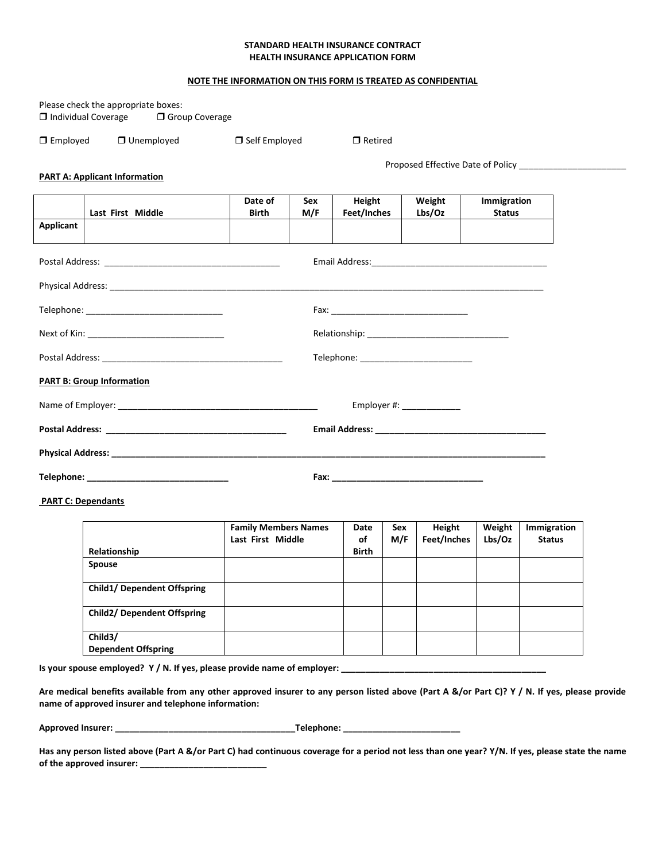## **STANDARD HEALTH INSURANCE CONTRACT HEALTH INSURANCE APPLICATION FORM**

## **NOTE THE INFORMATION ON THIS FORM IS TREATED AS CONFIDENTIAL**

| $\Box$ Individual Coverage       | Please check the appropriate boxes:<br><b>O</b> Group Coverage |                         |            |                          |                  |                                   |  |  |
|----------------------------------|----------------------------------------------------------------|-------------------------|------------|--------------------------|------------------|-----------------------------------|--|--|
| $\Box$ Employed                  | $\Box$ Unemployed                                              | $\Box$ Self Employed    |            | $\Box$ Retired           |                  |                                   |  |  |
|                                  | <b>PART A: Applicant Information</b>                           |                         |            |                          |                  | Proposed Effective Date of Policy |  |  |
| Applicant                        | Last First Middle                                              | Date of<br><b>Birth</b> | Sex<br>M/F | Height<br>Feet/Inches    | Weight<br>Lbs/Oz | Immigration<br><b>Status</b>      |  |  |
|                                  |                                                                |                         |            |                          |                  |                                   |  |  |
|                                  |                                                                |                         |            |                          |                  |                                   |  |  |
|                                  |                                                                |                         |            |                          |                  |                                   |  |  |
|                                  |                                                                |                         |            |                          |                  |                                   |  |  |
|                                  |                                                                |                         |            |                          |                  |                                   |  |  |
| <b>PART B: Group Information</b> |                                                                |                         |            |                          |                  |                                   |  |  |
|                                  |                                                                |                         |            | Employer #: ____________ |                  |                                   |  |  |
|                                  |                                                                |                         |            |                          |                  |                                   |  |  |
|                                  |                                                                |                         |            |                          |                  |                                   |  |  |
|                                  |                                                                |                         |            |                          |                  |                                   |  |  |

**PART C: Dependants**

|                                       | <b>Family Members Names</b><br>Last First Middle | Date<br>οf   | Sex<br>M/F | Height<br>Feet/Inches | Weight<br>Lbs/Oz | Immigration<br><b>Status</b> |
|---------------------------------------|--------------------------------------------------|--------------|------------|-----------------------|------------------|------------------------------|
| Relationship                          |                                                  | <b>Birth</b> |            |                       |                  |                              |
| <b>Spouse</b>                         |                                                  |              |            |                       |                  |                              |
| <b>Child1/ Dependent Offspring</b>    |                                                  |              |            |                       |                  |                              |
| <b>Child2/ Dependent Offspring</b>    |                                                  |              |            |                       |                  |                              |
| Child3/<br><b>Dependent Offspring</b> |                                                  |              |            |                       |                  |                              |

**Is your spouse employed? Y / N. If yes, please provide name of employer: \_\_\_\_\_\_\_\_\_\_\_\_\_\_\_\_\_\_\_\_\_\_\_\_\_\_\_\_\_\_\_\_\_\_\_\_\_\_\_\_\_\_**

**Are medical benefits available from any other approved insurer to any person listed above (Part A &/or Part C)? Y / N. If yes, please provide name of approved insurer and telephone information:** 

| <b>Approved Insurer:</b> | Telephone: |
|--------------------------|------------|
|                          |            |

**Has any person listed above (Part A &/or Part C) had continuous coverage for a period not less than one year? Y/N. If yes, please state the name of the approved insurer: \_\_\_\_\_\_\_\_\_\_\_\_\_\_\_\_\_\_\_\_\_\_\_\_\_\_**